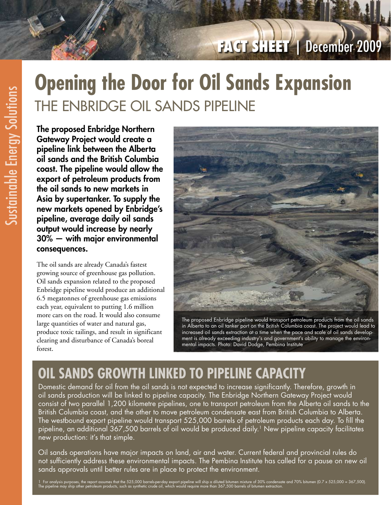# **FACT SHEET** | December 2009

# **Opening the Door for Oil Sands Expansion** THE ENBRIDGE OIL SANDS PIPELINE

The proposed Enbridge Northern Gateway Project would create a pipeline link between the Alberta oil sands and the British Columbia coast. The pipeline would allow the export of petroleum products from the oil sands to new markets in Asia by supertanker. To supply the new markets opened by Enbridge's pipeline, average daily oil sands output would increase by nearly 30% — with major environmental consequences.

The oil sands are already Canada's fastest growing source of greenhouse gas pollution. Oil sands expansion related to the proposed Enbridge pipeline would produce an additional 6.5 megatonnes of greenhouse gas emissions each year, equivalent to putting 1.6 million more cars on the road. It would also consume large quantities of water and natural gas, produce toxic tailings, and result in significant clearing and disturbance of Canada's boreal forest.



The proposed Enbridge pipeline would transport petroleum products from the oil sands in Alberta to an oil tanker port on the British Columbia coast. The project would lead to increased oil sands extraction at a time when the pace and scale of oil sands development is already exceeding industry's and government's ability to manage the environmental impacts. Photo: David Dodge, Pembina Institute

## **oil sands growth linked to pipeline capacity**

Domestic demand for oil from the oil sands is not expected to increase significantly. Therefore, growth in oil sands production will be linked to pipeline capacity. The Enbridge Northern Gateway Project would consist of two parallel 1,200 kilometre pipelines, one to transport petroleum from the Alberta oil sands to the British Columbia coast, and the other to move petroleum condensate east from British Columbia to Alberta. The westbound export pipeline would transport 525,000 barrels of petroleum products each day. To fill the pipeline, an additional 367,500 barrels of oil would be produced daily.<sup>1</sup> New pipeline capacity facilitates new production: it's that simple.

Oil sands operations have major impacts on land, air and water. Current federal and provincial rules do not sufficiently address these environmental impacts. The Pembina Institute has called for a pause on new oil sands approvals until better rules are in place to protect the environment.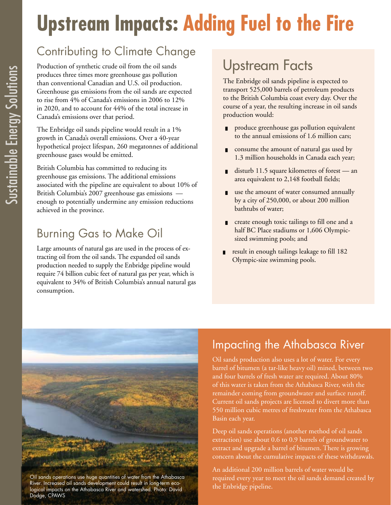# **Upstream Impacts: Adding Fuel to the Fire**

### Contributing to Climate Change

Production of synthetic crude oil from the oil sands produces three times more greenhouse gas pollution than conventional Canadian and U.S. oil production. Greenhouse gas emissions from the oil sands are expected to rise from 4% of Canada's emissions in 2006 to 12% in 2020, and to account for 44% of the total increase in Canada's emissions over that period.

The Enbridge oil sands pipeline would result in a 1% growth in Canada's overall emissions. Over a 40-year hypothetical project lifespan, 260 megatonnes of additional greenhouse gases would be emitted.

British Columbia has committed to reducing its greenhouse gas emissions. The additional emissions associated with the pipeline are equivalent to about 10% of British Columbia's 2007 greenhouse gas emissions enough to potentially undermine any emission reductions achieved in the province.

#### Burning Gas to Make Oil

Large amounts of natural gas are used in the process of extracting oil from the oil sands. The expanded oil sands production needed to supply the Enbridge pipeline would require 74 billion cubic feet of natural gas per year, which is equivalent to 34% of British Columbia's annual natural gas consumption.

### Upstream Facts

The Enbridge oil sands pipeline is expected to transport 525,000 barrels of petroleum products to the British Columbia coast every day. Over the course of a year, the resulting increase in oil sands production would:

- produce greenhouse gas pollution equivalent to the annual emissions of 1.6 million cars;
- consume the amount of natural gas used by 1.3 million households in Canada each year;
- disturb 11.5 square kilometres of forest  $-$  an area equivalent to 2,148 football fields;
- use the amount of water consumed annually by a city of 250,000, or about 200 million bathtubs of water;
- create enough toxic tailings to fill one and a half BC Place stadiums or 1,606 Olympicsized swimming pools; and
- result in enough tailings leakage to fill 182 Olympic-size swimming pools. █



Oil sands operations use huge quantities of water from the Athabasca River. Increased oil sands development could result in long-term ecological impacts on the Athabasca River and watershed. Photo: David Dodge, CPAWS

#### Impacting the Athabasca River

Oil sands production also uses a lot of water. For every barrel of bitumen (a tar-like heavy oil) mined, between two and four barrels of fresh water are required. About 80% of this water is taken from the Athabasca River, with the remainder coming from groundwater and surface runoff. Current oil sands projects are licensed to divert more than 550 million cubic metres of freshwater from the Athabasca Basin each year.

Deep oil sands operations (another method of oil sands extraction) use about 0.6 to 0.9 barrels of groundwater to extract and upgrade a barrel of bitumen. There is growing concern about the cumulative impacts of these withdrawals.

An additional 200 million barrels of water would be required every year to meet the oil sands demand created by the Enbridge pipeline.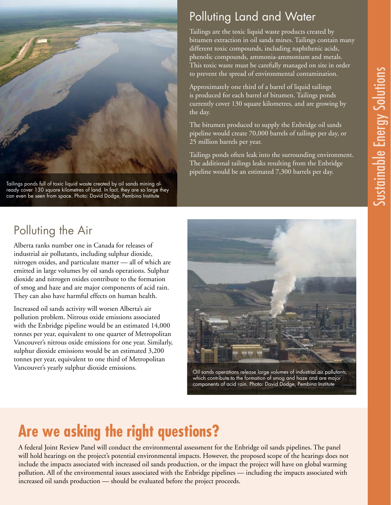

Tailings ponds full of toxic liquid waste created by oil sands mining already cover 130 square kilometres of land. In fact, they are so large they can even be seen from space. Photo: David Dodge, Pembina Institute

#### Polluting Land and Water

Tailings are the toxic liquid waste products created by bitumen extraction in oil sands mines. Tailings contain many different toxic compounds, including naphthenic acids, phenolic compounds, ammonia-ammonium and metals. This toxic waste must be carefully managed on site in order to prevent the spread of environmental contamination.

Approximately one third of a barrel of liquid tailings is produced for each barrel of bitumen. Tailings ponds currently cover 130 square kilometres, and are growing by the day.

The bitumen produced to supply the Enbridge oil sands pipeline would create 70,000 barrels of tailings per day, or 25 million barrels per year.

Tailings ponds often leak into the surrounding environment. The additional tailings leaks resulting from the Enbridge pipeline would be an estimated 7,300 barrels per day.

### Polluting the Air

Alberta ranks number one in Canada for releases of industrial air pollutants, including sulphur dioxide, nitrogen oxides, and particulate matter — all of which are emitted in large volumes by oil sands operations. Sulphur dioxide and nitrogen oxides contribute to the formation of smog and haze and are major components of acid rain. They can also have harmful effects on human health.

Increased oil sands activity will worsen Alberta's air pollution problem. Nitrous oxide emissions associated with the Enbridge pipeline would be an estimated 14,000 tonnes per year, equivalent to one quarter of Metropolitan Vancouver's nitrous oxide emissions for one year. Similarly, sulphur dioxide emissions would be an estimated 3,200 tonnes per year, equivalent to one third of Metropolitan Vancouver's yearly sulphur dioxide emissions.



Oil sands operations release large volumes of industrial air pollutants, which contribute to the formation of smog and haze and are major components of acid rain. Photo: David Dodge, Pembina Institute

# **Are we asking the right questions?**

A federal Joint Review Panel will conduct the environmental assessment for the Enbridge oil sands pipelines. The panel will hold hearings on the project's potential environmental impacts. However, the proposed scope of the hearings does not include the impacts associated with increased oil sands production, or the impact the project will have on global warming pollution. All of the environmental issues associated with the Enbridge pipelines — including the impacts associated with increased oil sands production — should be evaluated before the project proceeds.